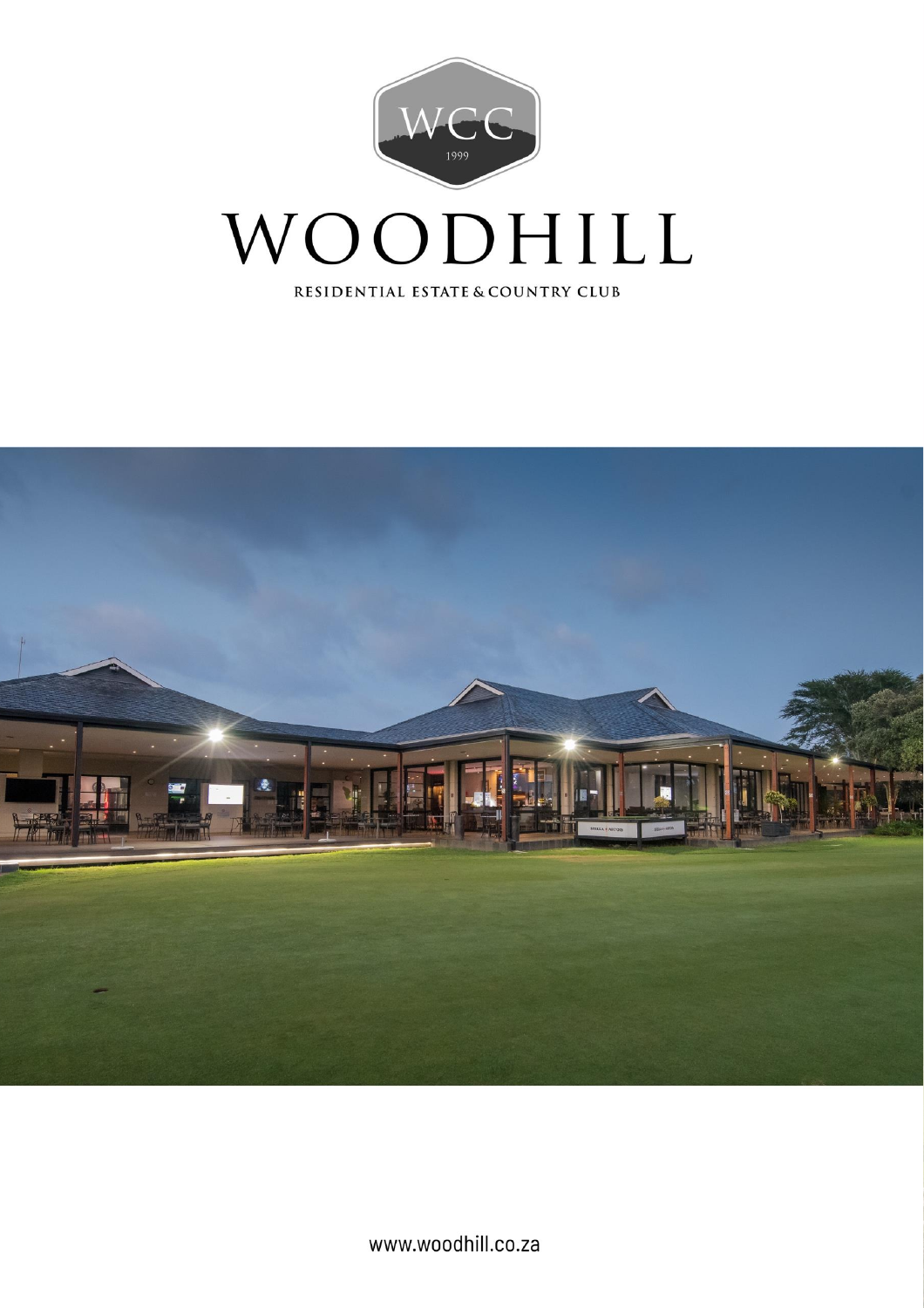

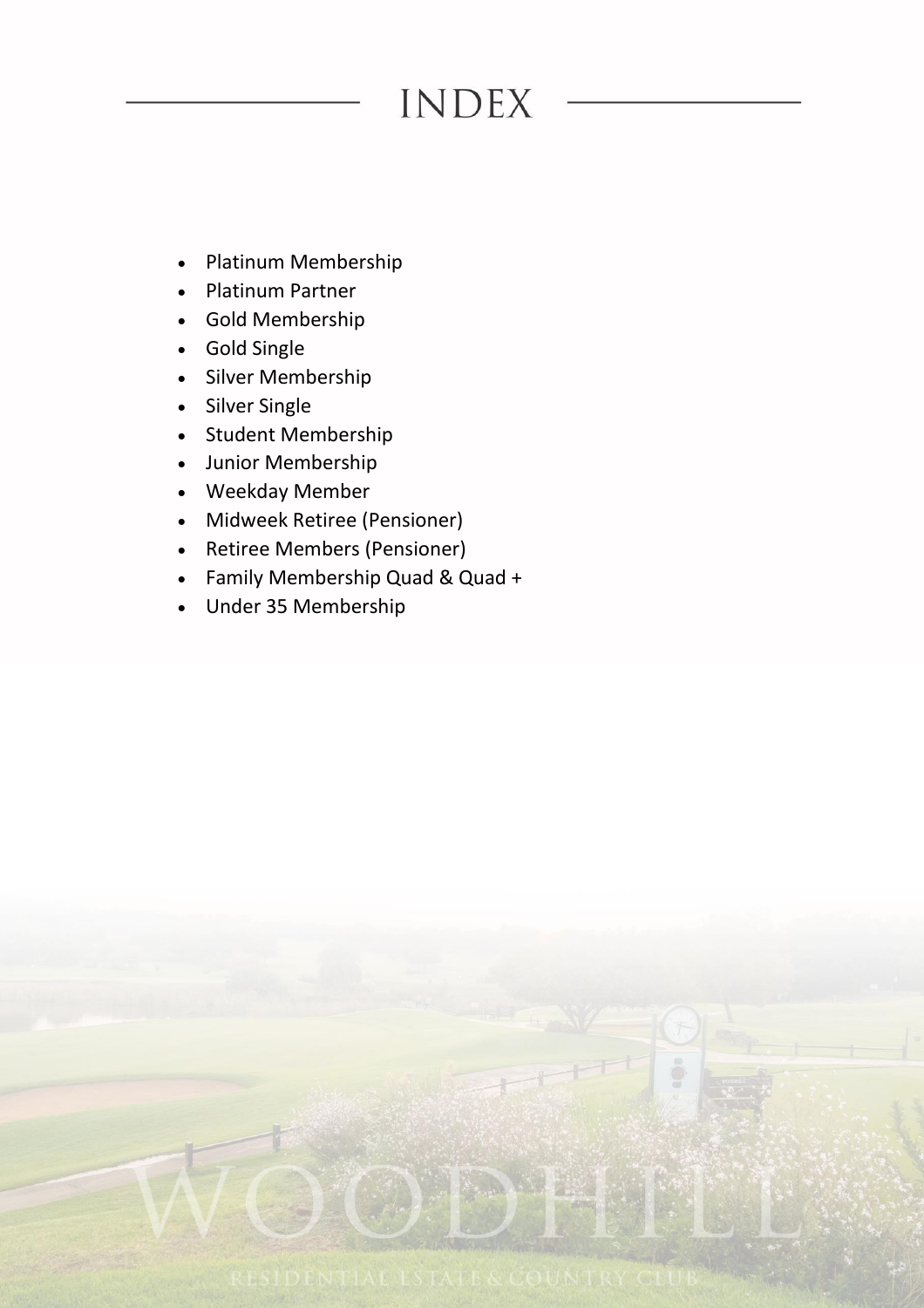# **INDEX**

- Platinum Membership
- Platinum Partner
- Gold Membership
- Gold Single
- Silver Membership
- Silver Single
- Student Membership
- Junior Membership
- Weekday Member
- Midweek Retiree (Pensioner)
- Retiree Members (Pensioner)
- Family Membership Quad & Quad +
- Under 35 Membership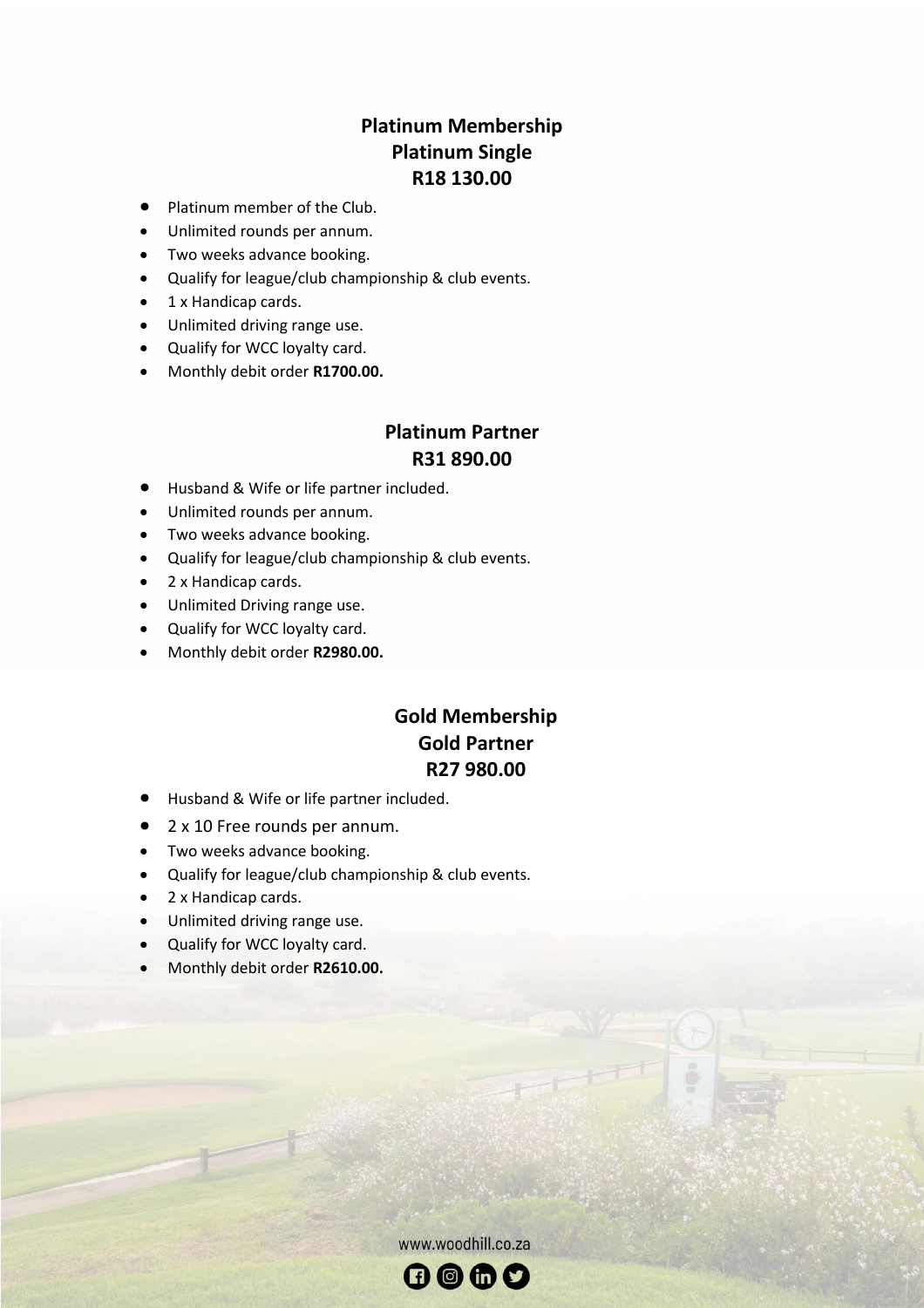#### **Platinum Membership Platinum Single R18 130.00**

- Platinum member of the Club.
- Unlimited rounds per annum.
- Two weeks advance booking.
- Qualify for league/club championship & club events.
- 1 x Handicap cards.
- Unlimited driving range use.
- Qualify for WCC loyalty card.
- Monthly debit order **R1700.00.**

#### **Platinum Partner R31 890.00**

- Husband & Wife or life partner included.
- Unlimited rounds per annum.
- Two weeks advance booking.
- Qualify for league/club championship & club events.
- 2 x Handicap cards.
- Unlimited Driving range use.
- Qualify for WCC loyalty card.
- Monthly debit order **R2980.00.**

#### **Gold Membership Gold Partner R27 980.00**

- Husband & Wife or life partner included.
- 2 x 10 Free rounds per annum.
- Two weeks advance booking.
- Qualify for league/club championship & club events.
- 2 x Handicap cards.
- Unlimited driving range use.
- Qualify for WCC loyalty card.
- Monthly debit order **R2610.00.**

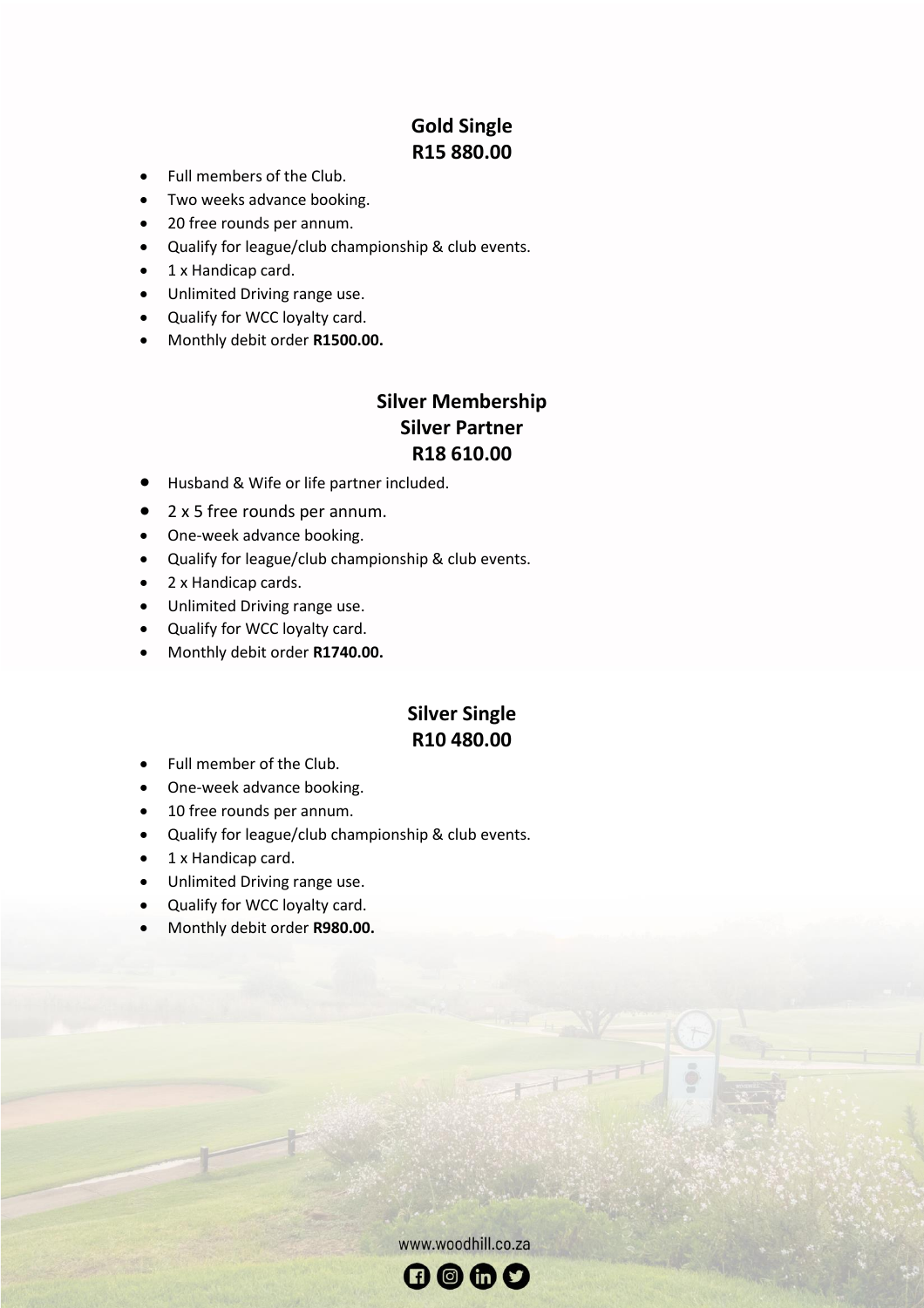### **Gold Single R15 880.00**

- Full members of the Club.
- Two weeks advance booking.
- 20 free rounds per annum.
- Qualify for league/club championship & club events.
- 1 x Handicap card.
- Unlimited Driving range use.
- Qualify for WCC loyalty card.
- Monthly debit order **R1500.00.**

#### **Silver Membership Silver Partner R18 610.00**

- Husband & Wife or life partner included.
- 2 x 5 free rounds per annum.
- One-week advance booking.
- Qualify for league/club championship & club events.
- 2 x Handicap cards.
- Unlimited Driving range use.
- Qualify for WCC loyalty card.
- Monthly debit order **R1740.00.**

#### **Silver Single R10 480.00**

- Full member of the Club.
- One-week advance booking.
- 10 free rounds per annum.
- Qualify for league/club championship & club events.
- 1 x Handicap card.
- Unlimited Driving range use.
- Qualify for WCC loyalty card.
- Monthly debit order **R980.00.**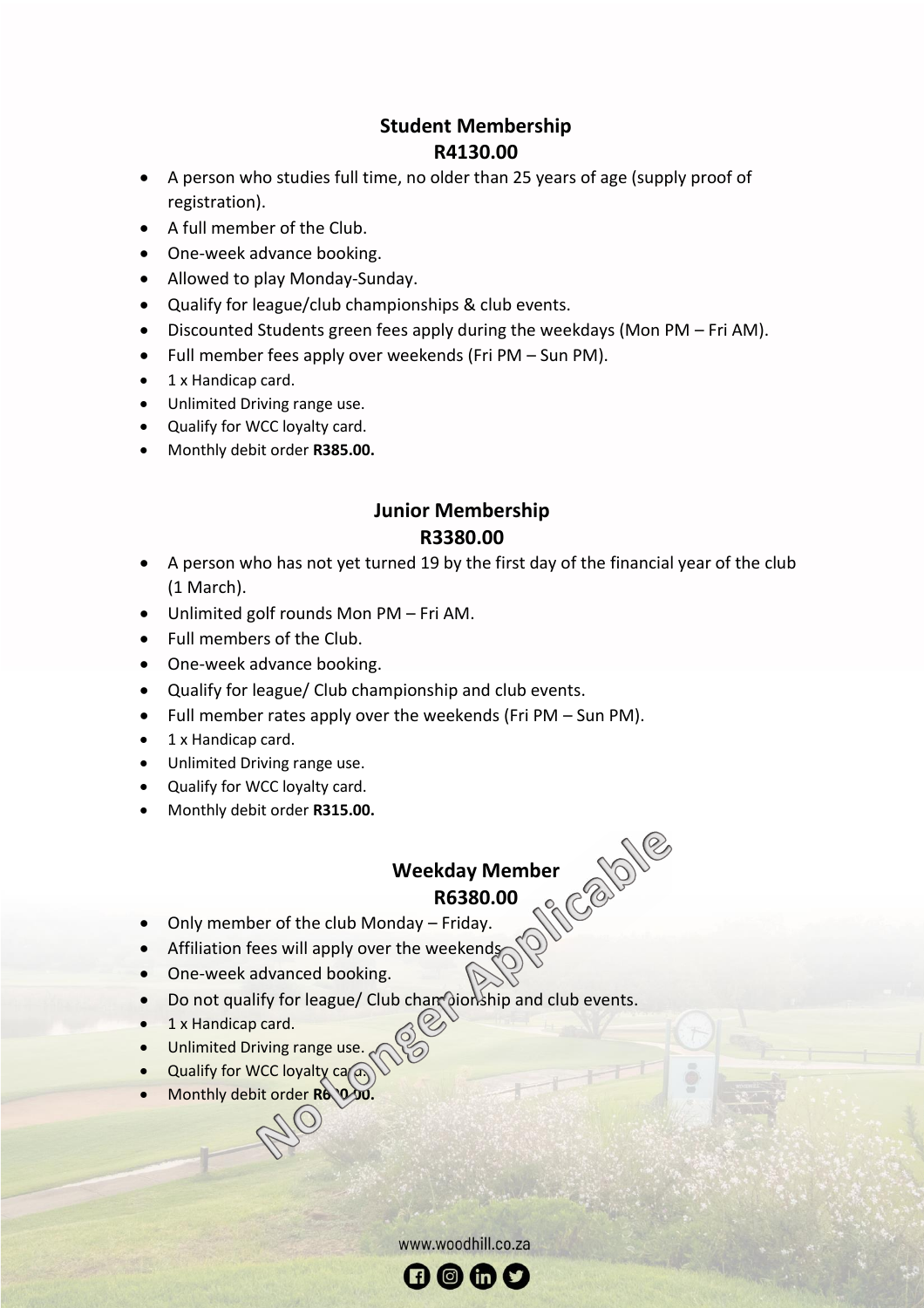#### **Student Membership R4130.00**

- A person who studies full time, no older than 25 years of age (supply proof of registration).
- A full member of the Club.
- One-week advance booking.
- Allowed to play Monday-Sunday.
- Qualify for league/club championships & club events.
- Discounted Students green fees apply during the weekdays (Mon PM Fri AM).
- Full member fees apply over weekends (Fri PM Sun PM).
- 1 x Handicap card.
- Unlimited Driving range use.
- Qualify for WCC loyalty card.
- Monthly debit order **R385.00.**

#### **Junior Membership R3380.00**

- A person who has not yet turned 19 by the first day of the financial year of the club (1 March).
- Unlimited golf rounds Mon PM Fri AM.
- Full members of the Club.
- One-week advance booking.
- Qualify for league/ Club championship and club events.
- Full member rates apply over the weekends (Fri PM Sun PM).
- 1 x Handicap card.
- Unlimited Driving range use.
- Qualify for WCC loyalty card.
- Monthly debit order **R315.00.**

# **Weekday Member<br>R6380.00**<br>May – Friday **R6380.00**

- Only member of the club Monday Friday.
- Affiliation fees will apply over the weekends
- One-week advanced booking.
- Do not qualify for league/ Club chare dionship and club events.
- 1 x Handicap card.
- Unlimited Driving range use.
- Qualify for WCC loyalty  $ca(\overline{a})$
- Monthly debit order **R6000.**

www.woodhill.co.za  $\mathbf \Theta$   $\mathbf \Theta$   $\mathbf \Theta$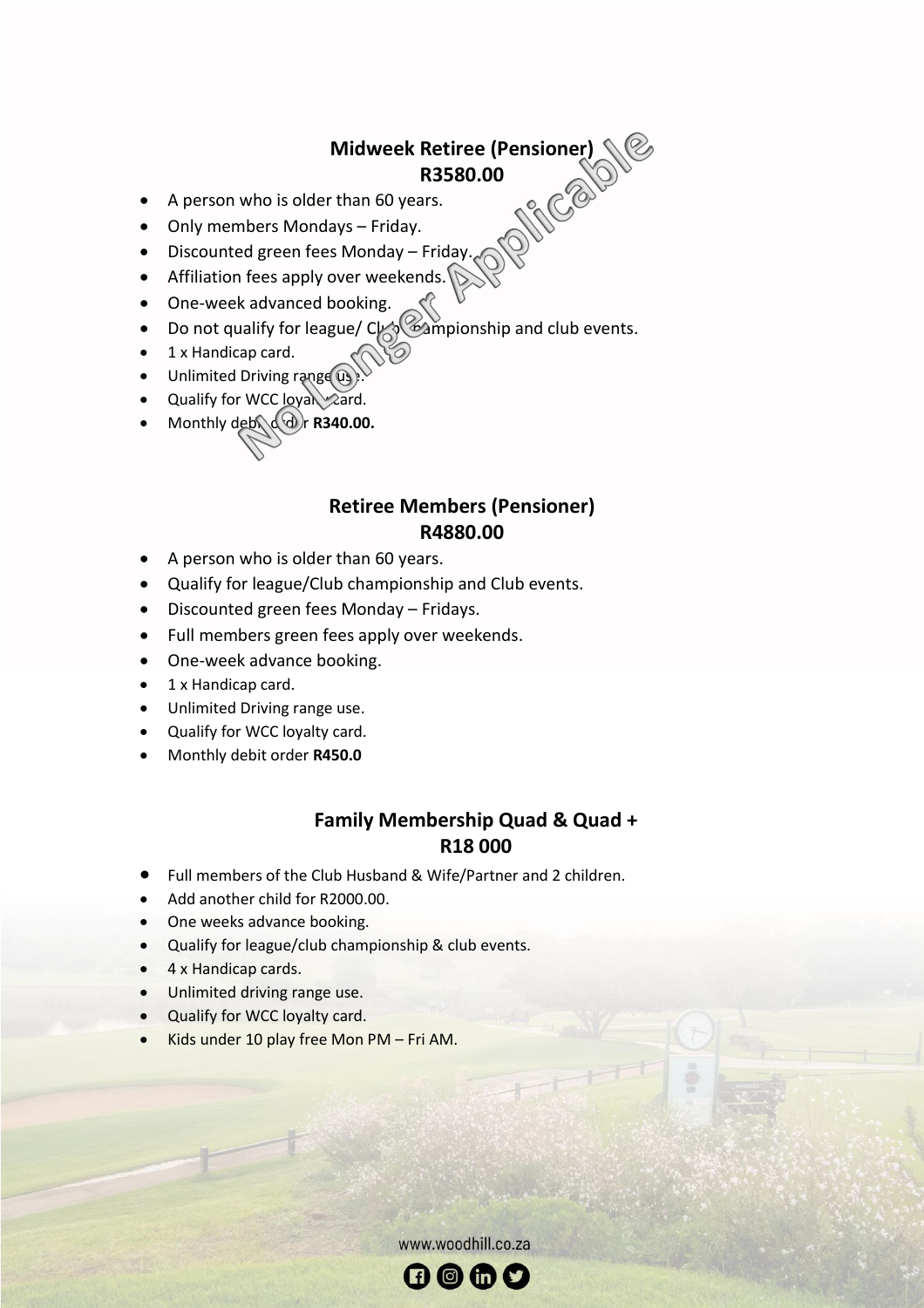# **Midweek Retiree (Pensioner) R3580.00**

- A person who is older than 60 years.
- Only members Mondays Friday.
- Discounted green fees Monday Friday.
- Affiliation fees apply over weekends.
- One-week advanced booking.
- Do not qualify for league/  $C_{\text{min}}$  campionship and club events.
- 1 x Handicap card.
- Unlimited Driving range  $(i)$
- Qualify for WCC  $\log_{10}\log_{10}$
- **Monthly deb**  $(\mathcal{A})$ **r R340.00.**

#### **Retiree Members (Pensioner) R4880.00**

- A person who is older than 60 years.
- Qualify for league/Club championship and Club events.
- Discounted green fees Monday Fridays.
- Full members green fees apply over weekends.
- One-week advance booking.
- 1 x Handicap card.
- Unlimited Driving range use.
- Qualify for WCC loyalty card.
- Monthly debit order **R450.0**

#### **Family Membership Quad & Quad + R18 000**

- Full members of the Club Husband & Wife/Partner and 2 children.
- Add another child for R2000.00.
- One weeks advance booking.
- Qualify for league/club championship & club events.
- 4 x Handicap cards.
- Unlimited driving range use.
- Qualify for WCC loyalty card.
- Kids under 10 play free Mon PM Fri AM.

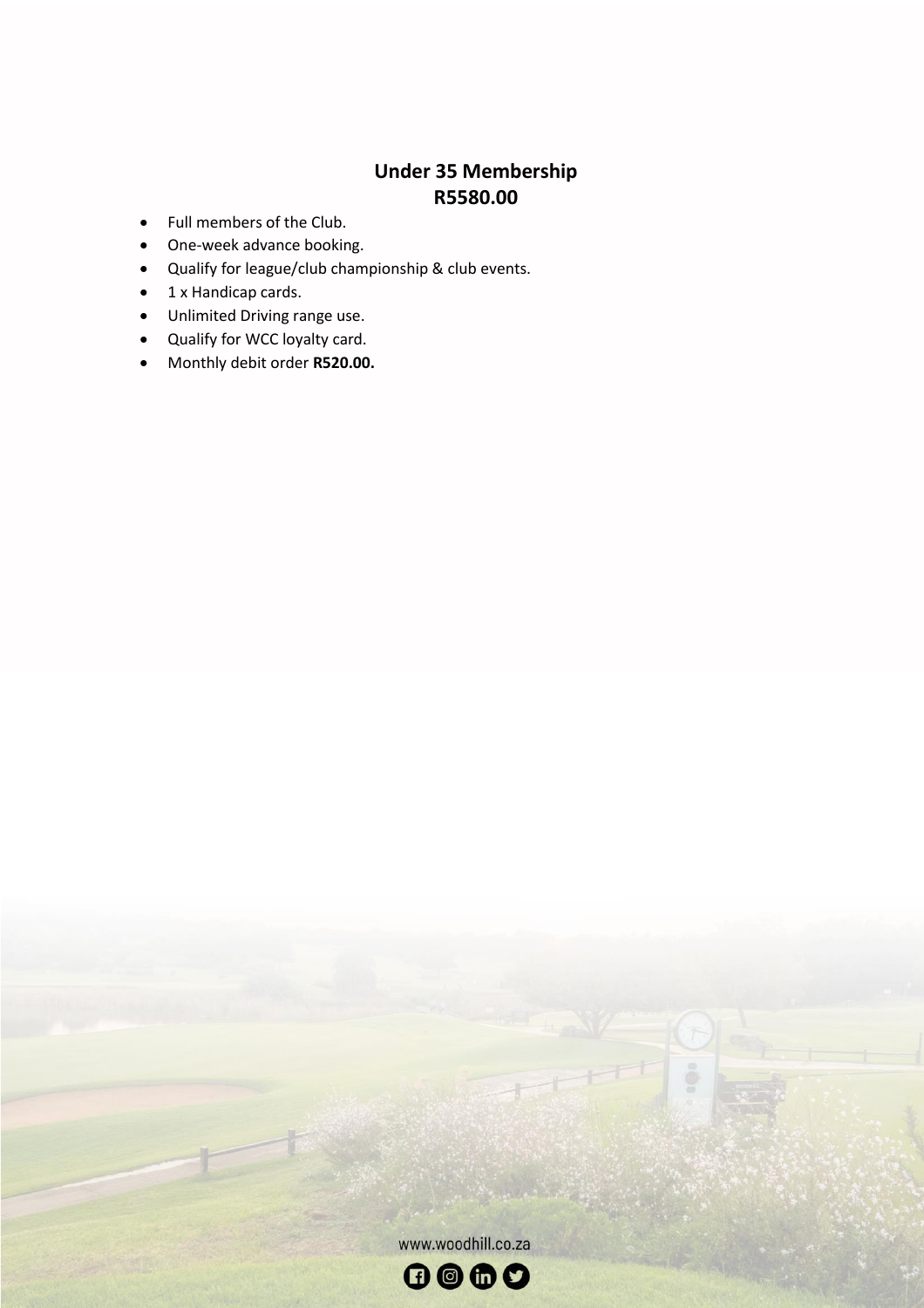# **Under 35 Membership R5580.00**

- Full members of the Club.
- One-week advance booking.
- Qualify for league/club championship & club events.
- 1 x Handicap cards.
- Unlimited Driving range use.
- Qualify for WCC loyalty card.
- Monthly debit order **R520.00.**